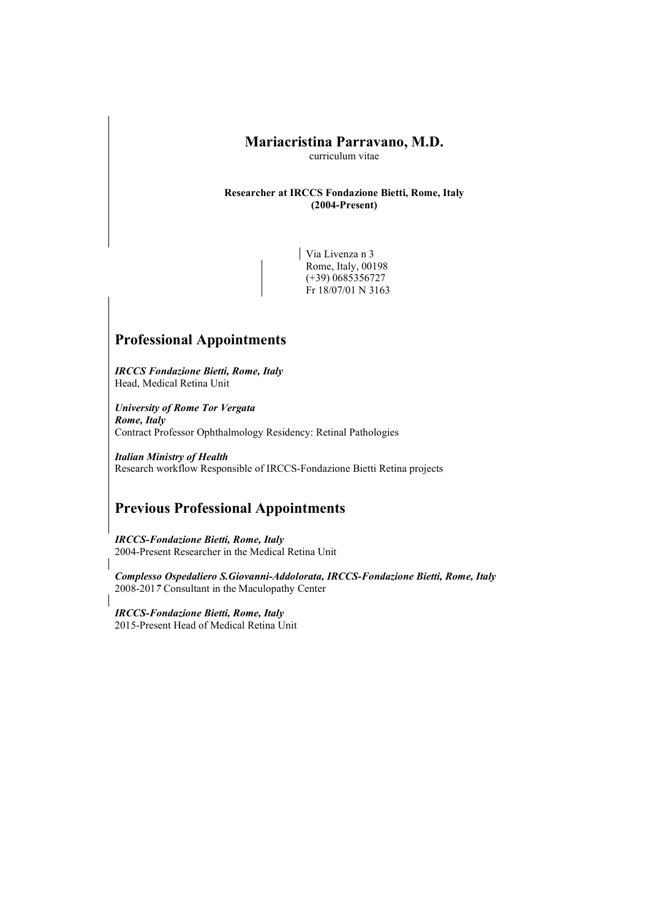### Mariacristina Parravano, M.D.

curriculum vitae

#### Researcher at IRCCS Fondazione Bietti, Rome, Italy (2004-Present)

Via Livenza n 3 Rome, Italy, 00198 (+39) 0685356727 Fr 18/07/01 N 3163

## Professional Appointments

IRCCS Fondazione Bietti, Rome, Italy Head, Medical Retina Unit

University of Rome Tor Vergata Rome, Italy Contract Professor Ophthalmology Residency: Retinal Pathologies

Italian Ministry of Health Research workflow Responsible of IRCCS-Fondazione Bietti Retina projects

# Previous Professional Appointments

IRCCS-Fondazione Bietti, Rome, Italy 2004-Present Researcher in the Medical Retina Unit

Complesso Ospedaliero S.Giovanni-Addolorata, IRCCS-Fondazione Bietti, Rome, Italy 2008-2017 Consultant in the Maculopathy Center

IRCCS-Fondazione Bietti, Rome, Italy 2015-Present Head of Medical Retina Unit